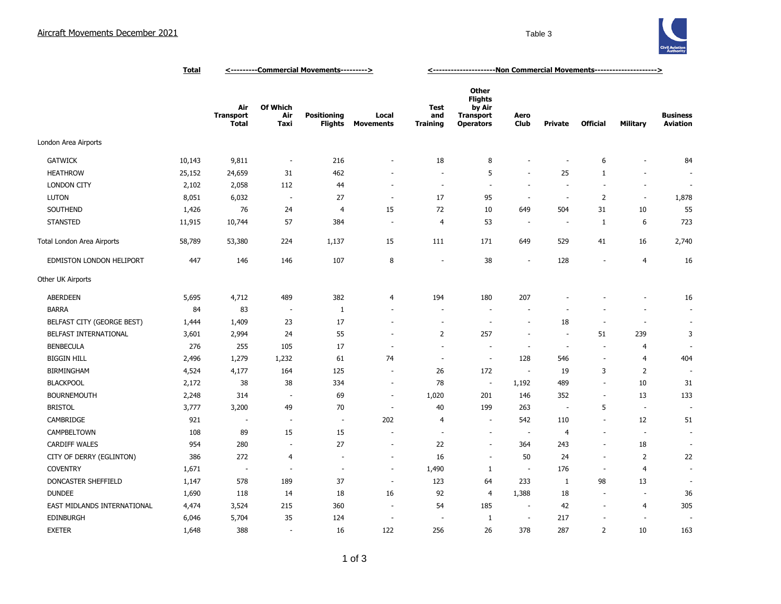

|                                 | <b>Total</b> | <----------Commercial Movements---------> |                          |                                      |                           | <-----------------------Non Commercial Movements---------------------> |                                                                           |                          |                          |                          |                          |                                    |
|---------------------------------|--------------|-------------------------------------------|--------------------------|--------------------------------------|---------------------------|------------------------------------------------------------------------|---------------------------------------------------------------------------|--------------------------|--------------------------|--------------------------|--------------------------|------------------------------------|
|                                 |              | Air<br><b>Transport</b><br>Total          | Of Which<br>Air<br>Taxi  | <b>Positioning</b><br><b>Flights</b> | Local<br><b>Movements</b> | Test<br>and<br><b>Training</b>                                         | Other<br><b>Flights</b><br>by Air<br><b>Transport</b><br><b>Operators</b> | Aero<br><b>Club</b>      | Private                  | <b>Official</b>          | Military                 | <b>Business</b><br><b>Aviation</b> |
| London Area Airports            |              |                                           |                          |                                      |                           |                                                                        |                                                                           |                          |                          |                          |                          |                                    |
| <b>GATWICK</b>                  | 10,143       | 9,811                                     | $\overline{\phantom{a}}$ | 216                                  | $\sim$                    | 18                                                                     | 8                                                                         | $\overline{\phantom{a}}$ | $\sim$                   | 6                        | ٠                        | 84                                 |
| <b>HEATHROW</b>                 | 25,152       | 24,659                                    | 31                       | 462                                  |                           | $\sim$                                                                 | 5                                                                         | $\overline{\phantom{a}}$ | 25                       | $\mathbf{1}$             | $\sim$                   |                                    |
| <b>LONDON CITY</b>              | 2,102        | 2,058                                     | 112                      | 44                                   | $\overline{\phantom{a}}$  | $\overline{\phantom{a}}$                                               | $\sim$                                                                    | $\overline{\phantom{a}}$ | $\overline{\phantom{a}}$ | $\overline{\phantom{a}}$ | $\overline{\phantom{a}}$ | $\overline{a}$                     |
| <b>LUTON</b>                    | 8,051        | 6,032                                     | $\sim$                   | 27                                   | $\overline{\phantom{a}}$  | 17                                                                     | 95                                                                        | $\overline{\phantom{a}}$ | $\sim$                   | $\overline{2}$           | $\overline{\phantom{a}}$ | 1,878                              |
| SOUTHEND                        | 1,426        | 76                                        | 24                       | $\overline{4}$                       | 15                        | 72                                                                     | 10                                                                        | 649                      | 504                      | 31                       | 10                       | 55                                 |
| <b>STANSTED</b>                 | 11,915       | 10,744                                    | 57                       | 384                                  | $\overline{\phantom{a}}$  | $\overline{4}$                                                         | 53                                                                        | $\overline{\phantom{a}}$ | $\overline{\phantom{a}}$ | 1                        | 6                        | 723                                |
| Total London Area Airports      | 58,789       | 53,380                                    | 224                      | 1,137                                | 15                        | 111                                                                    | 171                                                                       | 649                      | 529                      | 41                       | 16                       | 2,740                              |
| <b>EDMISTON LONDON HELIPORT</b> | 447          | 146                                       | 146                      | 107                                  | 8                         | $\overline{\phantom{a}}$                                               | 38                                                                        | $\overline{\phantom{a}}$ | 128                      | $\overline{\phantom{a}}$ | $\overline{4}$           | 16                                 |
| Other UK Airports               |              |                                           |                          |                                      |                           |                                                                        |                                                                           |                          |                          |                          |                          |                                    |
| <b>ABERDEEN</b>                 | 5,695        | 4,712                                     | 489                      | 382                                  | 4                         | 194                                                                    | 180                                                                       | 207                      |                          |                          |                          | 16                                 |
| <b>BARRA</b>                    | 84           | 83                                        | $\overline{\phantom{a}}$ | $\mathbf{1}$                         | $\sim$                    | ٠                                                                      | $\sim$                                                                    | ÷                        |                          |                          |                          | ×.                                 |
| BELFAST CITY (GEORGE BEST)      | 1,444        | 1,409                                     | 23                       | 17                                   | $\overline{\phantom{a}}$  | ÷                                                                      | $\sim$                                                                    | $\overline{\phantom{a}}$ | 18                       | $\overline{\phantom{a}}$ | $\sim$                   | $\blacksquare$                     |
| BELFAST INTERNATIONAL           | 3,601        | 2,994                                     | 24                       | 55                                   | ÷.                        | $\overline{2}$                                                         | 257                                                                       | $\overline{\phantom{a}}$ | $\sim$                   | 51                       | 239                      | 3                                  |
| <b>BENBECULA</b>                | 276          | 255                                       | 105                      | 17                                   | $\overline{\phantom{a}}$  | ÷.                                                                     | $\sim$                                                                    | $\sim$                   | $\sim$                   | $\overline{\phantom{a}}$ | $\overline{4}$           |                                    |
| <b>BIGGIN HILL</b>              | 2,496        | 1,279                                     | 1,232                    | 61                                   | 74                        | $\overline{\phantom{a}}$                                               | $\overline{\phantom{a}}$                                                  | 128                      | 546                      | $\overline{\phantom{a}}$ | 4                        | 404                                |
| <b>BIRMINGHAM</b>               | 4,524        | 4,177                                     | 164                      | 125                                  | $\sim$                    | 26                                                                     | 172                                                                       | $\sim$                   | 19                       | 3                        | $\overline{2}$           |                                    |
| <b>BLACKPOOL</b>                | 2,172        | 38                                        | 38                       | 334                                  | $\sim$                    | 78                                                                     | $\overline{\phantom{a}}$                                                  | 1,192                    | 489                      | ÷.                       | 10                       | 31                                 |
| <b>BOURNEMOUTH</b>              | 2,248        | 314                                       | ٠.                       | 69                                   | ÷.                        | 1,020                                                                  | 201                                                                       | 146                      | 352                      | ÷.                       | 13                       | 133                                |
| <b>BRISTOL</b>                  | 3,777        | 3,200                                     | 49                       | 70                                   | ÷.                        | 40                                                                     | 199                                                                       | 263                      | $\overline{\phantom{a}}$ | 5                        | ٠.                       |                                    |
| CAMBRIDGE                       | 921          | $\overline{\phantom{a}}$                  | $\overline{\phantom{a}}$ | $\overline{\phantom{a}}$             | 202                       | 4                                                                      | $\sim$                                                                    | 542                      | 110                      | $\overline{\phantom{a}}$ | 12                       | 51                                 |
| CAMPBELTOWN                     | 108          | 89                                        | 15                       | 15                                   | ÷.                        | i.                                                                     | $\sim$                                                                    | $\sim$                   | $\overline{4}$           | $\sim$                   | ٠.                       | ÷.                                 |
| CARDIFF WALES                   | 954          | 280                                       | $\overline{\phantom{a}}$ | 27                                   | $\sim$                    | 22                                                                     | $\sim$                                                                    | 364                      | 243                      | $\overline{\phantom{a}}$ | 18                       |                                    |
| CITY OF DERRY (EGLINTON)        | 386          | 272                                       | 4                        | $\sim$                               | $\sim$                    | 16                                                                     | ÷.                                                                        | 50                       | 24                       | ÷.                       | $\overline{2}$           | 22                                 |
| <b>COVENTRY</b>                 | 1,671        | $\sim$                                    | ÷,                       | $\sim$                               | $\overline{\phantom{a}}$  | 1,490                                                                  | $\mathbf{1}$                                                              | $\overline{\phantom{a}}$ | 176                      | $\overline{\phantom{a}}$ | $\overline{4}$           |                                    |
| DONCASTER SHEFFIELD             | 1,147        | 578                                       | 189                      | 37                                   | $\overline{\phantom{a}}$  | 123                                                                    | 64                                                                        | 233                      | $\mathbf{1}$             | 98                       | 13                       |                                    |
| <b>DUNDEE</b>                   | 1,690        | 118                                       | 14                       | 18                                   | 16                        | 92                                                                     | $\overline{4}$                                                            | 1,388                    | 18                       | $\sim$                   | $\overline{\phantom{a}}$ | 36                                 |
| EAST MIDLANDS INTERNATIONAL     | 4,474        | 3,524                                     | 215                      | 360                                  | $\sim$                    | 54                                                                     | 185                                                                       | ٠.                       | 42                       | $\overline{\phantom{a}}$ | 4                        | 305                                |
| <b>EDINBURGH</b>                | 6,046        | 5,704                                     | 35                       | 124                                  | ÷,                        |                                                                        | $\mathbf{1}$                                                              | $\sim$                   | 217                      | $\overline{\phantom{a}}$ | $\overline{\phantom{a}}$ |                                    |
| <b>EXETER</b>                   | 1,648        | 388                                       | $\overline{\phantom{a}}$ | 16                                   | 122                       | 256                                                                    | 26                                                                        | 378                      | 287                      | $\overline{2}$           | 10                       | 163                                |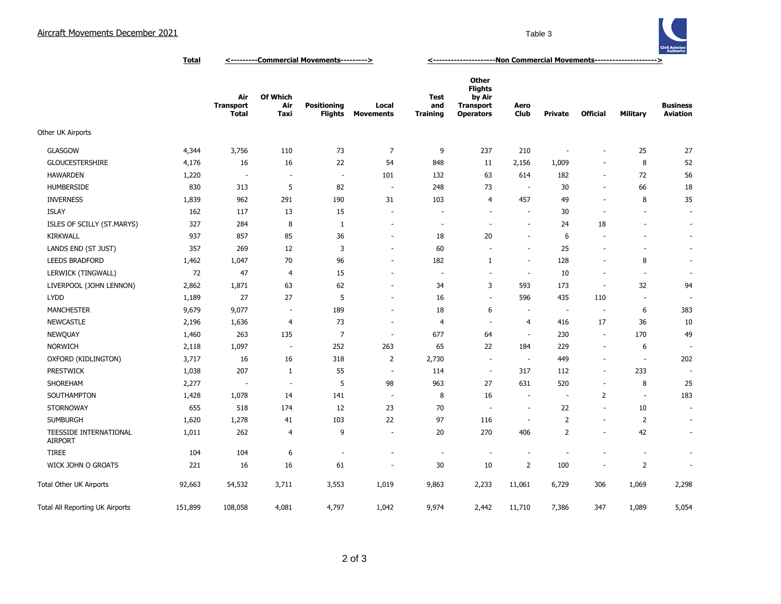

**Total <---------Commercial Movements---------> <---------------------Non Commercial Movements--------------------->**

|                                          |         | Air<br><b>Transport</b><br><b>Total</b> | Of Which<br>Air<br>Taxi  | <b>Positioning</b><br>Flights | Local<br><b>Movements</b> | <b>Test</b><br>and<br><b>Training</b> | Other<br><b>Flights</b><br>by Air<br><b>Transport</b><br><b>Operators</b> | Aero<br>Club             | <b>Private</b>           | <b>Official</b>          | Military                 | <b>Business</b><br><b>Aviation</b> |
|------------------------------------------|---------|-----------------------------------------|--------------------------|-------------------------------|---------------------------|---------------------------------------|---------------------------------------------------------------------------|--------------------------|--------------------------|--------------------------|--------------------------|------------------------------------|
| Other UK Airports                        |         |                                         |                          |                               |                           |                                       |                                                                           |                          |                          |                          |                          |                                    |
| <b>GLASGOW</b>                           | 4,344   | 3,756                                   | 110                      | 73                            | $\overline{7}$            | 9                                     | 237                                                                       | 210                      | $\overline{\phantom{a}}$ | $\overline{\phantom{a}}$ | 25                       | 27                                 |
| <b>GLOUCESTERSHIRE</b>                   | 4,176   | 16                                      | 16                       | 22                            | 54                        | 848                                   | 11                                                                        | 2,156                    | 1,009                    | $\blacksquare$           | 8                        | 52                                 |
| <b>HAWARDEN</b>                          | 1,220   | $\sim$                                  | $\sim$                   | $\overline{\phantom{a}}$      | 101                       | 132                                   | 63                                                                        | 614                      | 182                      | $\blacksquare$           | 72                       | 56                                 |
| <b>HUMBERSIDE</b>                        | 830     | 313                                     | 5                        | 82                            | $\sim$                    | 248                                   | 73                                                                        | - 11                     | 30                       | $\blacksquare$           | 66                       | 18                                 |
| <b>INVERNESS</b>                         | 1,839   | 962                                     | 291                      | 190                           | 31                        | 103                                   | 4                                                                         | 457                      | 49                       | $\overline{\phantom{a}}$ | 8                        | 35                                 |
| <b>ISLAY</b>                             | 162     | 117                                     | 13                       | 15                            |                           |                                       | $\overline{\phantom{a}}$                                                  |                          | 30                       | $\overline{\phantom{a}}$ |                          | $\sim$                             |
| ISLES OF SCILLY (ST.MARYS)               | 327     | 284                                     | 8                        | 1                             | $\overline{\phantom{a}}$  | $\overline{\phantom{a}}$              | $\sim$                                                                    | $\overline{\phantom{a}}$ | 24                       | 18                       |                          | $\sim$                             |
| <b>KIRKWALL</b>                          | 937     | 857                                     | 85                       | 36                            | $\overline{\phantom{a}}$  | 18                                    | 20                                                                        | ÷                        | 6                        | $\sim$                   |                          | $\sim$                             |
| LANDS END (ST JUST)                      | 357     | 269                                     | 12                       | 3                             | $\overline{\phantom{a}}$  | 60                                    | ÷.                                                                        | $\sim$                   | 25                       | ٠                        |                          | $\overline{\phantom{a}}$           |
| <b>LEEDS BRADFORD</b>                    | 1,462   | 1,047                                   | 70                       | 96                            | $\overline{\phantom{a}}$  | 182                                   | 1                                                                         | $\sim$                   | 128                      | $\overline{\phantom{a}}$ | 8                        | $\sim$                             |
| LERWICK (TINGWALL)                       | 72      | 47                                      | 4                        | 15                            | $\overline{\phantom{a}}$  | $\overline{\phantom{a}}$              | $\sim$                                                                    | $\overline{\phantom{a}}$ | 10                       | $\overline{\phantom{a}}$ | $\sim$                   | $\overline{\phantom{a}}$           |
| LIVERPOOL (JOHN LENNON)                  | 2,862   | 1,871                                   | 63                       | 62                            | $\overline{\phantom{a}}$  | 34                                    | 3                                                                         | 593                      | 173                      | $\overline{\phantom{a}}$ | 32                       | 94                                 |
| <b>LYDD</b>                              | 1,189   | 27                                      | 27                       | 5                             | $\overline{\phantom{a}}$  | 16                                    | $\sim$                                                                    | 596                      | 435                      | 110                      | ÷.                       | $\sim$                             |
| <b>MANCHESTER</b>                        | 9,679   | 9,077                                   | $\sim$                   | 189                           | $\sim$                    | 18                                    | 6                                                                         | $\sim$                   | $\sim$                   | ÷.                       | 6                        | 383                                |
| <b>NEWCASTLE</b>                         | 2,196   | 1,636                                   | $\overline{4}$           | 73                            | $\sim$                    | $\overline{4}$                        | ÷.                                                                        | $\overline{4}$           | 416                      | 17                       | 36                       | 10                                 |
| <b>NEWQUAY</b>                           | 1,460   | 263                                     | 135                      | $\overline{7}$                | ÷,                        | 677                                   | 64                                                                        |                          | 230                      | $\sim$                   | 170                      | 49                                 |
| <b>NORWICH</b>                           | 2,118   | 1,097                                   | $\overline{\phantom{a}}$ | 252                           | 263                       | 65                                    | 22                                                                        | 184                      | 229                      | ÷,                       | 6                        |                                    |
| OXFORD (KIDLINGTON)                      | 3,717   | 16                                      | 16                       | 318                           | $\overline{2}$            | 2,730                                 | $\overline{\phantom{a}}$                                                  | $\overline{\phantom{a}}$ | 449                      | $\overline{\phantom{a}}$ | $\overline{\phantom{a}}$ | 202                                |
| <b>PRESTWICK</b>                         | 1,038   | 207                                     | $\mathbf{1}$             | 55                            | $\sim$                    | 114                                   | $\overline{\phantom{a}}$                                                  | 317                      | 112                      | $\sim$                   | 233                      | $\sim$                             |
| SHOREHAM                                 | 2,277   | $\overline{\phantom{a}}$                | $\sim$                   | 5                             | 98                        | 963                                   | 27                                                                        | 631                      | 520                      | $\overline{\phantom{a}}$ | 8                        | 25                                 |
| SOUTHAMPTON                              | 1,428   | 1,078                                   | 14                       | 141                           | $\overline{\phantom{a}}$  | 8                                     | 16                                                                        | $\sim$                   | ÷,                       | $\overline{2}$           | $\overline{\phantom{a}}$ | 183                                |
| <b>STORNOWAY</b>                         | 655     | 518                                     | 174                      | 12                            | 23                        | 70                                    | $\overline{\phantom{a}}$                                                  | ÷.                       | 22                       | $\blacksquare$           | 10                       | $\overline{\phantom{a}}$           |
| <b>SUMBURGH</b>                          | 1,620   | 1,278                                   | 41                       | 103                           | 22                        | 97                                    | 116                                                                       | $\overline{\phantom{a}}$ | $\overline{2}$           | $\overline{\phantom{a}}$ | $\overline{2}$           | $\sim$                             |
| TEESSIDE INTERNATIONAL<br><b>AIRPORT</b> | 1,011   | 262                                     | $\overline{4}$           | 9                             | $\overline{\phantom{a}}$  | 20                                    | 270                                                                       | 406                      | $\overline{2}$           | ÷,                       | 42                       | $\sim$                             |
| <b>TIREE</b>                             | 104     | 104                                     | 6                        | $\overline{\phantom{a}}$      |                           | $\overline{\phantom{a}}$              | $\sim$                                                                    | $\overline{\phantom{a}}$ | $\overline{a}$           | ä,                       | $\overline{\phantom{a}}$ | $\sim$                             |
| WICK JOHN O GROATS                       | 221     | 16                                      | 16                       | 61                            |                           | 30                                    | 10                                                                        | $\overline{2}$           | 100                      | ٠                        | $\overline{2}$           | $\overline{\phantom{a}}$           |
| <b>Total Other UK Airports</b>           | 92,663  | 54,532                                  | 3,711                    | 3,553                         | 1,019                     | 9,863                                 | 2,233                                                                     | 11,061                   | 6,729                    | 306                      | 1,069                    | 2,298                              |
| Total All Reporting UK Airports          | 151,899 | 108,058                                 | 4,081                    | 4,797                         | 1,042                     | 9,974                                 | 2,442                                                                     | 11,710                   | 7,386                    | 347                      | 1,089                    | 5,054                              |